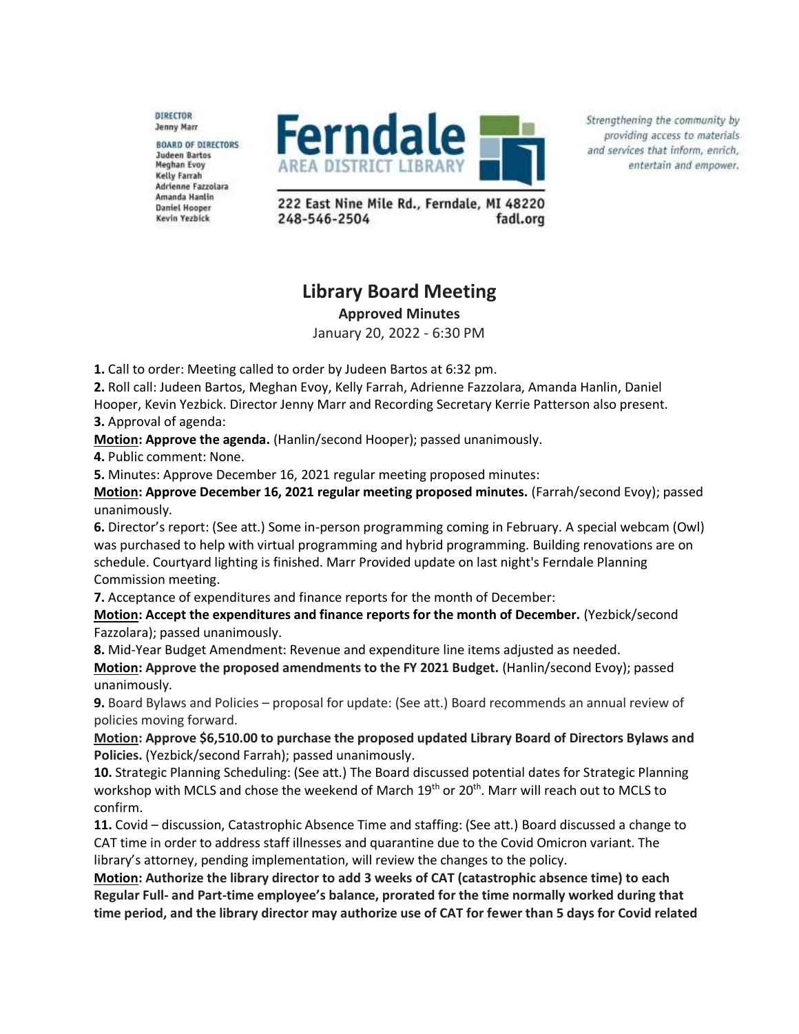DIRECTOR **Jenny Marr** 

**BOARD OF DIRECTORS** Judeen Bartos **Meghan Evoy Kelly Farrah** Adrienne Fazzolara Amanda Hanlin **Daniel Hooper** Kevin Yezbick



Strengthening the community by providing access to materials and services that inform, enrich, entertain and empower.

222 East Nine Mile Rd., Ferndale, MI 48220 248-546-2504 fadl.org

## **Library Board Meeting**

**Approved Minutes**

January 20, 2022 - 6:30 PM

**1.** Call to order: Meeting called to order by Judeen Bartos at 6:32 pm.

**2.** Roll call: Judeen Bartos, Meghan Evoy, Kelly Farrah, Adrienne Fazzolara, Amanda Hanlin, Daniel Hooper, Kevin Yezbick. Director Jenny Marr and Recording Secretary Kerrie Patterson also present. **3.** Approval of agenda:

**Motion: Approve the agenda.** (Hanlin/second Hooper); passed unanimously.

**4.** Public comment: None.

**5.** Minutes: Approve December 16, 2021 regular meeting proposed minutes:

**Motion: Approve December 16, 2021 regular meeting proposed minutes.** (Farrah/second Evoy); passed unanimously.

**6.** Director's report: (See att.) Some in-person programming coming in February. A special webcam (Owl) was purchased to help with virtual programming and hybrid programming. Building renovations are on schedule. Courtyard lighting is finished. Marr Provided update on last night's Ferndale Planning Commission meeting.

**7.** Acceptance of expenditures and finance reports for the month of December:

**Motion: Accept the expenditures and finance reports for the month of December.** (Yezbick/second Fazzolara); passed unanimously.

**8.** Mid-Year Budget Amendment: Revenue and expenditure line items adjusted as needed.

**Motion: Approve the proposed amendments to the FY 2021 Budget.** (Hanlin/second Evoy); passed unanimously.

**9.** Board Bylaws and Policies – proposal for update: (See att.) Board recommends an annual review of policies moving forward.

**Motion: Approve \$6,510.00 to purchase the proposed updated Library Board of Directors Bylaws and Policies.** (Yezbick/second Farrah); passed unanimously.

**10.** Strategic Planning Scheduling: (See att.) The Board discussed potential dates for Strategic Planning workshop with MCLS and chose the weekend of March 19<sup>th</sup> or 20<sup>th</sup>. Marr will reach out to MCLS to confirm.

**11.** Covid – discussion, Catastrophic Absence Time and staffing: (See att.) Board discussed a change to CAT time in order to address staff illnesses and quarantine due to the Covid Omicron variant. The library's attorney, pending implementation, will review the changes to the policy.

**Motion: Authorize the library director to add 3 weeks of CAT (catastrophic absence time) to each Regular Full- and Part-time employee's balance, prorated for the time normally worked during that time period, and the library director may authorize use of CAT for fewer than 5 days for Covid related**